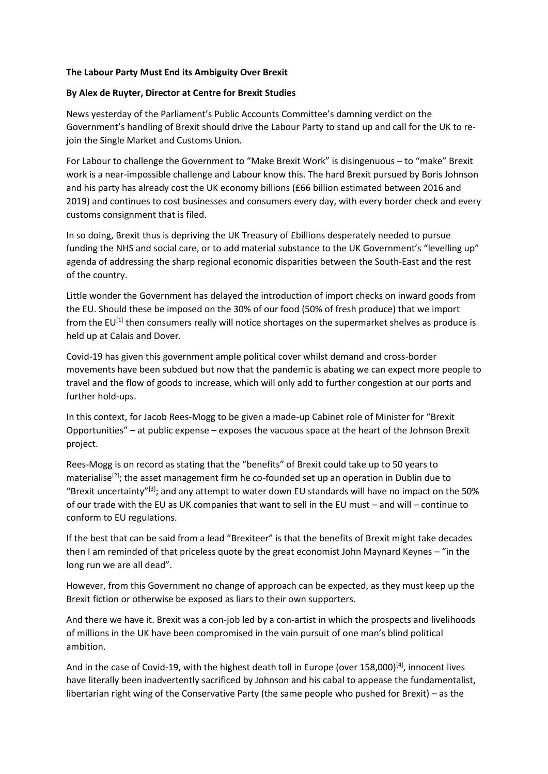## **The Labour Party Must End its Ambiguity Over Brexit**

## **By Alex de Ruyter, Director at Centre for Brexit Studies**

News yesterday of the Parliament's Public Accounts Committee's damning verdict on the Government's handling of Brexit should drive the Labour Party to stand up and call for the UK to rejoin the Single Market and Customs Union.

For Labour to challenge the Government to "Make Brexit Work" is disingenuous – to "make" Brexit work is a near-impossible challenge and Labour know this. The hard Brexit pursued by Boris Johnson and his party has already cost the UK economy billions (£66 billion estimated between 2016 and 2019) and continues to cost businesses and consumers every day, with every border check and every customs consignment that is filed.

In so doing, Brexit thus is depriving the UK Treasury of £billions desperately needed to pursue funding the NHS and social care, or to add material substance to the UK Government's "levelling up" agenda of addressing the sharp regional economic disparities between the South-East and the rest of the country.

Little wonder the Government has delayed the introduction of import checks on inward goods from the EU. Should these be imposed on the 30% of our food (50% of fresh produce) that we import from the EU<sup>[1]</sup> then consumers really will notice shortages on the supermarket shelves as produce is held up at Calais and Dover.

Covid-19 has given this government ample political cover whilst demand and cross-border movements have been subdued but now that the pandemic is abating we can expect more people to travel and the flow of goods to increase, which will only add to further congestion at our ports and further hold-ups.

In this context, for Jacob Rees-Mogg to be given a made-up Cabinet role of Minister for "Brexit Opportunities" – at public expense – exposes the vacuous space at the heart of the Johnson Brexit project.

Rees-Mogg is on record as stating that the "benefits" of Brexit could take up to 50 years to materialise<sup>[2]</sup>; the asset management firm he co-founded set up an operation in Dublin due to "Brexit uncertainty"[3]; and any attempt to water down EU standards will have no impact on the 50% of our trade with the EU as UK companies that want to sell in the EU must – and will – continue to conform to EU regulations.

If the best that can be said from a lead "Brexiteer" is that the benefits of Brexit might take decades then I am reminded of that priceless quote by the great economist John Maynard Keynes – "in the long run we are all dead".

However, from this Government no change of approach can be expected, as they must keep up the Brexit fiction or otherwise be exposed as liars to their own supporters.

And there we have it. Brexit was a con-job led by a con-artist in which the prospects and livelihoods of millions in the UK have been compromised in the vain pursuit of one man's blind political ambition.

And in the case of Covid-19, with the highest death toll in Europe (over 158,000)<sup>[4]</sup>, innocent lives have literally been inadvertently sacrificed by Johnson and his cabal to appease the fundamentalist, libertarian right wing of the Conservative Party (the same people who pushed for Brexit) – as the